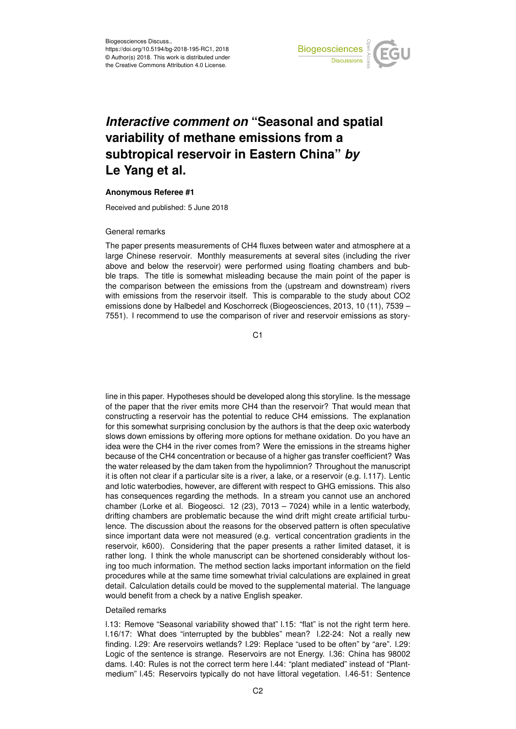

## *Interactive comment on* **"Seasonal and spatial variability of methane emissions from a subtropical reservoir in Eastern China"** *by* **Le Yang et al.**

## **Anonymous Referee #1**

Received and published: 5 June 2018

## General remarks

The paper presents measurements of CH4 fluxes between water and atmosphere at a large Chinese reservoir. Monthly measurements at several sites (including the river above and below the reservoir) were performed using floating chambers and bubble traps. The title is somewhat misleading because the main point of the paper is the comparison between the emissions from the (upstream and downstream) rivers with emissions from the reservoir itself. This is comparable to the study about CO2 emissions done by Halbedel and Koschorreck (Biogeosciences, 2013, 10 (11), 7539 – 7551). I recommend to use the comparison of river and reservoir emissions as story-

 $C<sub>1</sub>$ 

line in this paper. Hypotheses should be developed along this storyline. Is the message of the paper that the river emits more CH4 than the reservoir? That would mean that constructing a reservoir has the potential to reduce CH4 emissions. The explanation for this somewhat surprising conclusion by the authors is that the deep oxic waterbody slows down emissions by offering more options for methane oxidation. Do you have an idea were the CH4 in the river comes from? Were the emissions in the streams higher because of the CH4 concentration or because of a higher gas transfer coefficient? Was the water released by the dam taken from the hypolimnion? Throughout the manuscript it is often not clear if a particular site is a river, a lake, or a reservoir (e.g. l.117). Lentic and lotic waterbodies, however, are different with respect to GHG emissions. This also has consequences regarding the methods. In a stream you cannot use an anchored chamber (Lorke et al. Biogeosci. 12 (23), 7013 – 7024) while in a lentic waterbody, drifting chambers are problematic because the wind drift might create artificial turbulence. The discussion about the reasons for the observed pattern is often speculative since important data were not measured (e.g. vertical concentration gradients in the reservoir, k600). Considering that the paper presents a rather limited dataset, it is rather long. I think the whole manuscript can be shortened considerably without losing too much information. The method section lacks important information on the field procedures while at the same time somewhat trivial calculations are explained in great detail. Calculation details could be moved to the supplemental material. The language would benefit from a check by a native English speaker.

## Detailed remarks

l.13: Remove "Seasonal variability showed that" l.15: "flat" is not the right term here. l.16/17: What does "interrupted by the bubbles" mean? l.22-24: Not a really new finding. l.29: Are reservoirs wetlands? l.29: Replace "used to be often" by "are". l.29: Logic of the sentence is strange. Reservoirs are not Energy. l.36: China has 98002 dams. l.40: Rules is not the correct term here l.44: "plant mediated" instead of "Plantmedium" l.45: Reservoirs typically do not have littoral vegetation. l.46-51: Sentence